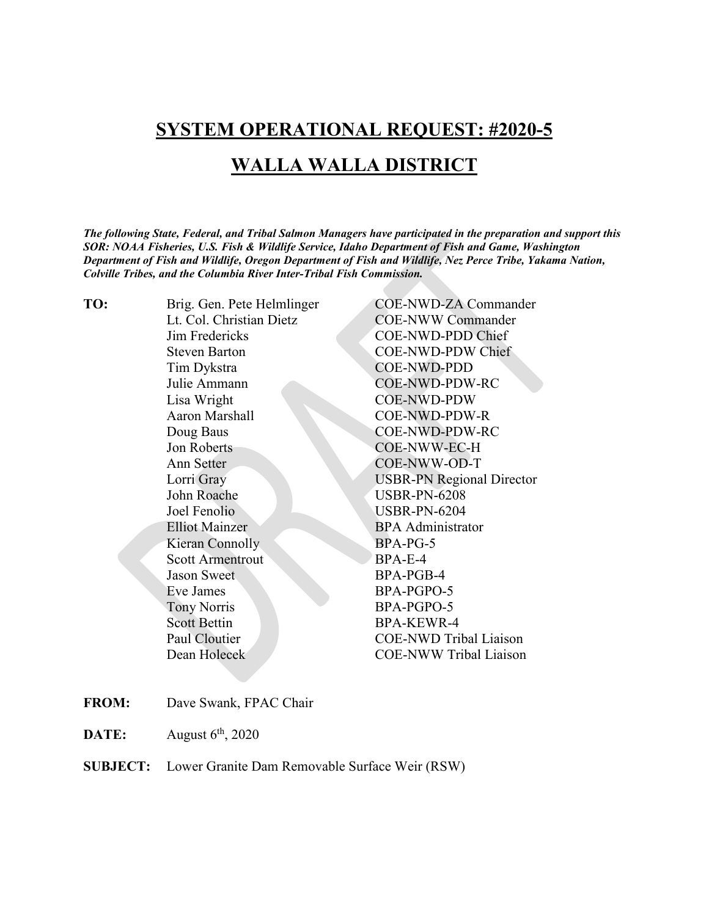## **SYSTEM OPERATIONAL REQUEST: #2020-5**

## **WALLA WALLA DISTRICT**

*The following State, Federal, and Tribal Salmon Managers have participated in the preparation and support this SOR: NOAA Fisheries, U.S. Fish & Wildlife Service, Idaho Department of Fish and Game, Washington Department of Fish and Wildlife, Oregon Department of Fish and Wildlife, Nez Perce Tribe, Yakama Nation, Colville Tribes, and the Columbia River Inter-Tribal Fish Commission.* 

| TO: | Brig. Gen. Pete Helmlinger | <b>COE-NWD-ZA Commander</b>      |
|-----|----------------------------|----------------------------------|
|     | Lt. Col. Christian Dietz   | <b>COE-NWW Commander</b>         |
|     | Jim Fredericks             | COE-NWD-PDD Chief                |
|     | <b>Steven Barton</b>       | COE-NWD-PDW Chief                |
|     | Tim Dykstra                | <b>COE-NWD-PDD</b>               |
|     | Julie Ammann               | COE-NWD-PDW-RC                   |
|     | Lisa Wright                | <b>COE-NWD-PDW</b>               |
|     | <b>Aaron Marshall</b>      | COE-NWD-PDW-R                    |
|     | Doug Baus                  | COE-NWD-PDW-RC                   |
|     | Jon Roberts                | COE-NWW-EC-H                     |
|     | Ann Setter                 | COE-NWW-OD-T                     |
|     | Lorri Gray                 | <b>USBR-PN Regional Director</b> |
|     | John Roache                | <b>USBR-PN-6208</b>              |
|     | Joel Fenolio               | <b>USBR-PN-6204</b>              |
|     | <b>Elliot Mainzer</b>      | <b>BPA</b> Administrator         |
|     | Kieran Connolly            | BPA-PG-5                         |
|     | <b>Scott Armentrout</b>    | $BPA-E-4$                        |
|     | <b>Jason Sweet</b>         | BPA-PGB-4                        |
|     | Eve James                  | BPA-PGPO-5                       |
|     | <b>Tony Norris</b>         | BPA-PGPO-5                       |
|     | <b>Scott Bettin</b>        | <b>BPA-KEWR-4</b>                |
|     | Paul Cloutier              | <b>COE-NWD Tribal Liaison</b>    |
|     | Dean Holecek               | <b>COE-NWW Tribal Liaison</b>    |
|     |                            |                                  |

- **FROM:** Dave Swank, FPAC Chair
- **DATE:** August  $6^{th}$ , 2020
- **SUBJECT:** Lower Granite Dam Removable Surface Weir (RSW)